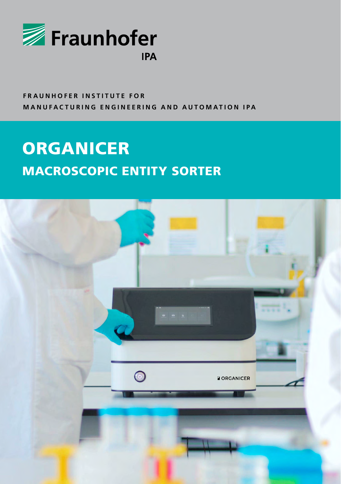

## **FRAUNHOFER INSTITUTE FOR MANUFACTURING ENGINEERING AND AUTOMATION IPA**

# **ORGANICER** MACROSCOPIC ENTITY SORTER

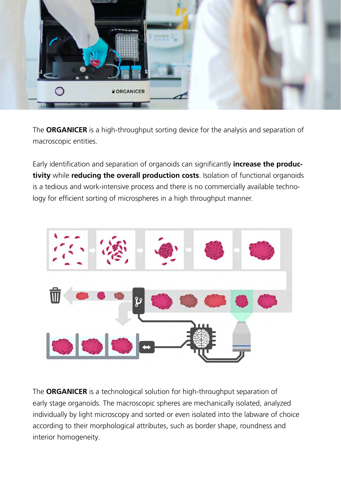

The **ORGANICER** is a high-throughput sorting device for the analysis and separation of macroscopic entities.

Early identification and separation of organoids can significantly **increase the productivity** while **reducing the overall production costs**. Isolation of functional organoids is a tedious and work-intensive process and there is no commercially available technology for efficient sorting of microspheres in a high throughput manner.



The **ORGANICER** is a technological solution for high-throughput separation of early stage organoids. The macroscopic spheres are mechanically isolated, analyzed individually by light microscopy and sorted or even isolated into the labware of choice according to their morphological attributes, such as border shape, roundness and interior homogeneity.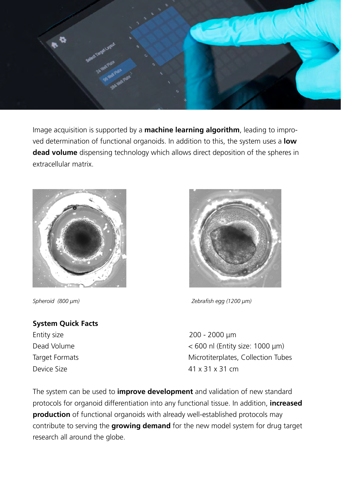

Image acquisition is supported by a **machine learning algorithm**, leading to improved determination of functional organoids. In addition to this, the system uses a **low dead volume** dispensing technology which allows direct deposition of the spheres in extracellular matrix.



#### **System Quick Facts**

Entity size 200 - 2000 μm



*Spheroid (800 µm) Zebrafish egg (1200 µm)*

Dead Volume < 600 nl (Entity size: 1000 μm) Target Formats **Microtiterplates**, Collection Tubes Device Size  $41 \times 31 \times 31$  cm

The system can be used to **improve development** and validation of new standard protocols for organoid differentiation into any functional tissue. In addition, **increased production** of functional organoids with already well-established protocols may contribute to serving the **growing demand** for the new model system for drug target research all around the globe.